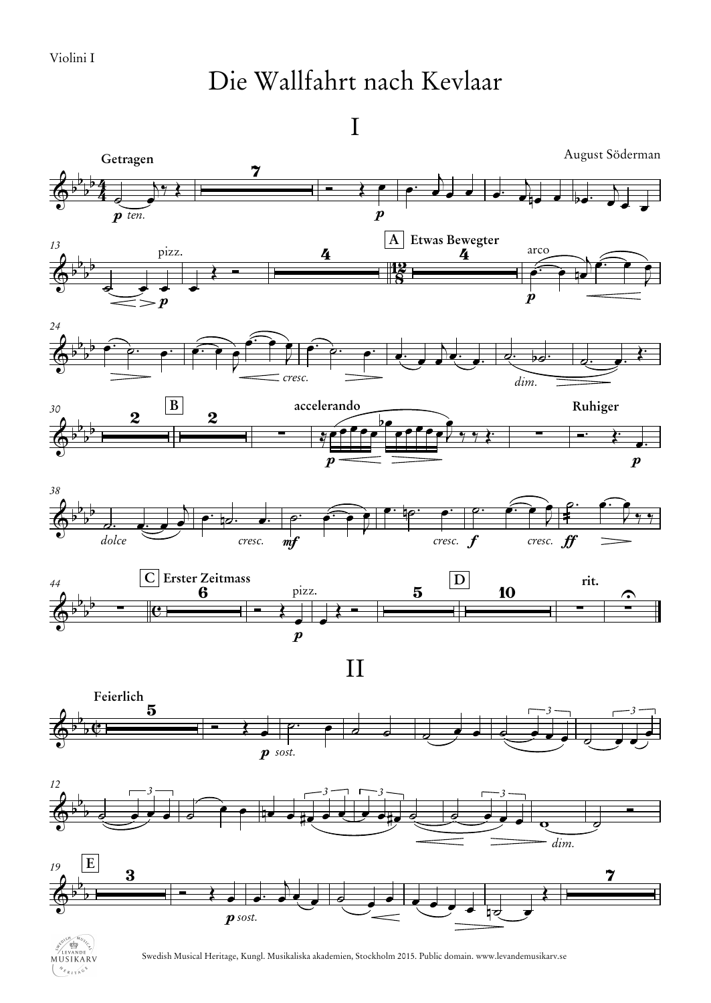## Die Wallfahrt nach Kevlaar

I





Swedish Musical Heritage, Kungl. Musikaliska akademien, Stockholm 2015. Public domain. www.levandemusikarv.se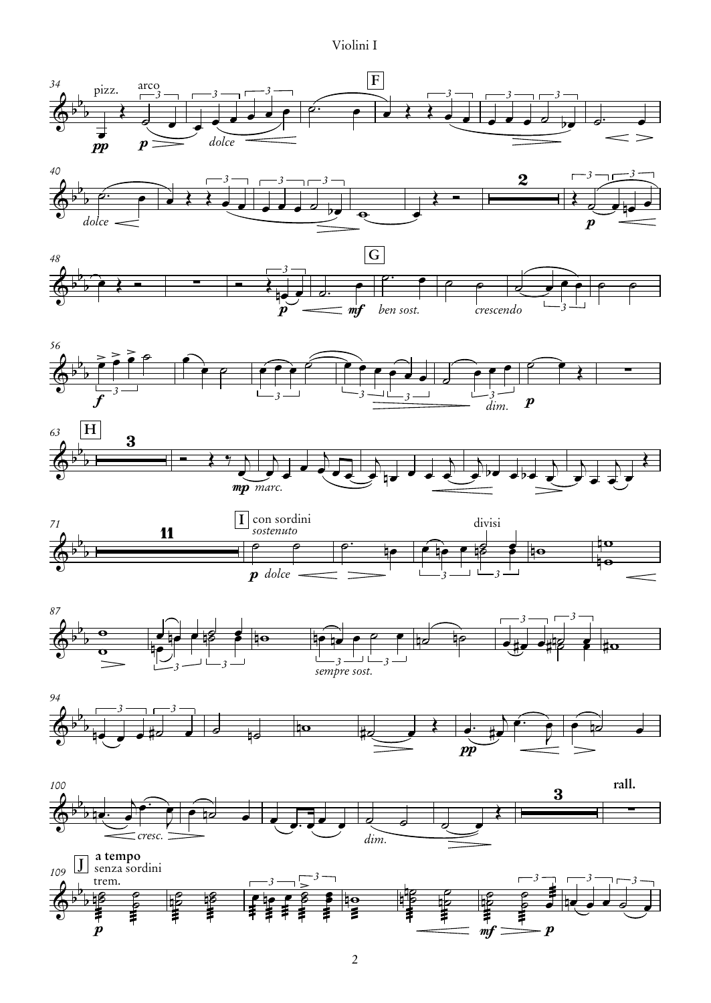## Violini I